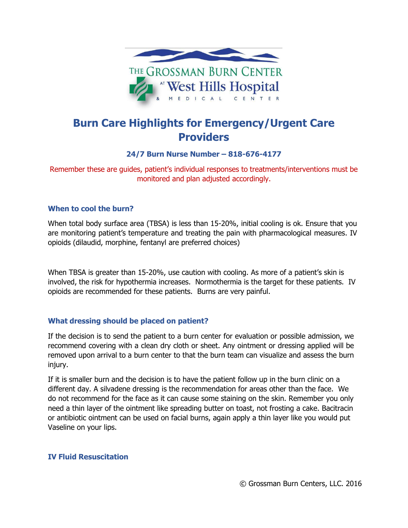

# **Burn Care Highlights for Emergency/Urgent Care Providers**

## **24/7 Burn Nurse Number – 818-676-4177**

Remember these are guides, patient's individual responses to treatments/interventions must be monitored and plan adjusted accordingly.

## **When to cool the burn?**

When total body surface area (TBSA) is less than 15-20%, initial cooling is ok. Ensure that you are monitoring patient's temperature and treating the pain with pharmacological measures. IV opioids (dilaudid, morphine, fentanyl are preferred choices)

When TBSA is greater than 15-20%, use caution with cooling. As more of a patient's skin is involved, the risk for hypothermia increases. Normothermia is the target for these patients. IV opioids are recommended for these patients. Burns are very painful.

## **What dressing should be placed on patient?**

If the decision is to send the patient to a burn center for evaluation or possible admission, we recommend covering with a clean dry cloth or sheet. Any ointment or dressing applied will be removed upon arrival to a burn center to that the burn team can visualize and assess the burn injury.

If it is smaller burn and the decision is to have the patient follow up in the burn clinic on a different day. A silvadene dressing is the recommendation for areas other than the face. We do not recommend for the face as it can cause some staining on the skin. Remember you only need a thin layer of the ointment like spreading butter on toast, not frosting a cake. Bacitracin or antibiotic ointment can be used on facial burns, again apply a thin layer like you would put Vaseline on your lips.

#### **IV Fluid Resuscitation**